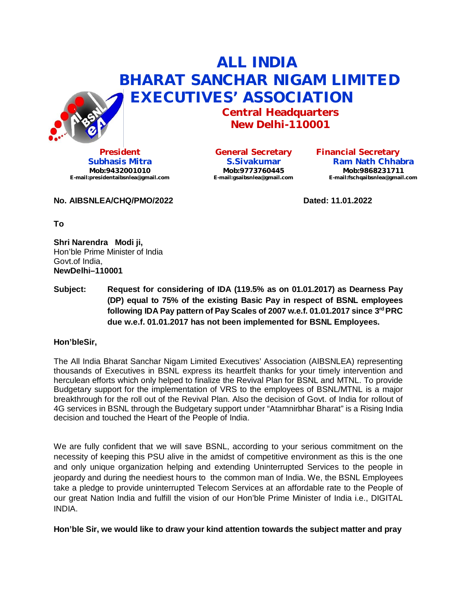

**President Subhasis Mitra Mob:9432001010 [E-mail:presidentaibsnlea@gmail.com](mailto:E-mail:presidentaibsnlea@gmail.com)**

**General Secretary S.Sivakumar Mob:9773760445 [E-mail:gsaibsnlea@gmail.com](mailto:E-mail:gsaibsnlea@gmail.com)**

 **ALL INDIA**

 **BHARAT SANCHAR NIGAM LIMITED**

**Central Headquarters New Delhi-110001**

> **Financial Secretary Ram Nath Chhabra Mob:9868231711 [E-mail:fschqaibsnlea@gmail.com](mailto:E-mail:fschqaibsnlea@gmail.com)**

No. AIBSNLEA/CHQ/PMO/2022 **Dated: 11.01.2022** 

**To**

**Shri Narendra Modi ji,** Hon'ble Prime Minister of India Govt.of India, **NewDelhi–110001**

**Subject: Request for considering of IDA (119.5% as on 01.01.2017) as Dearness Pay (DP) equal to 75% of the existing Basic Pay in respect of BSNL employees following IDA Pay pattern of Pay Scales of 2007 w.e.f. 01.01.2017 since 3 rd PRC due w.e.f. 01.01.2017 has not been implemented for BSNL Employees.**

# **Hon'bleSir,**

The All India Bharat Sanchar Nigam Limited Executives' Association (AIBSNLEA) representing thousands of Executives in BSNL express its heartfelt thanks for your timely intervention and herculean efforts which only helped to finalize the Revival Plan for BSNL and MTNL. To provide Budgetary support for the implementation of VRS to the employees of BSNL/MTNL is a major breakthrough for the roll out of the Revival Plan. Also the decision of Govt. of India for rollout of 4G services in BSNL through the Budgetary support under "Atamnirbhar Bharat" is a Rising India decision and touched the Heart of the People of India.

We are fully confident that we will save BSNL, according to your serious commitment on the necessity of keeping this PSU alive in the amidst of competitive environment as this is the one and only unique organization helping and extending Uninterrupted Services to the people in jeopardy and during the neediest hours to the common man of India. We, the BSNL Employees take a pledge to provide uninterrupted Telecom Services at an affordable rate to the People of our great Nation India and fulfill the vision of our Hon'ble Prime Minister of India i.e., DIGITAL INDIA.

**Hon'ble Sir, we would like to draw your kind attention towards the subject matter and pray**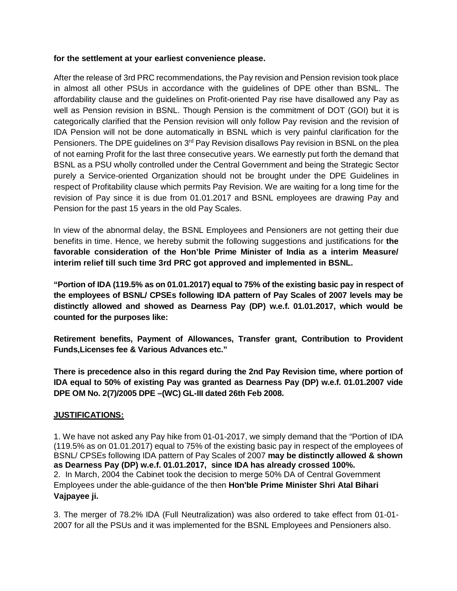### **for the settlement at your earliest convenience please.**

After the release of 3rd PRC recommendations, the Pay revision and Pension revision took place in almost all other PSUs in accordance with the guidelines of DPE other than BSNL. The affordability clause and the guidelines on Profit-oriented Pay rise have disallowed any Pay as well as Pension revision in BSNL. Though Pension is the commitment of DOT (GOI) but it is categorically clarified that the Pension revision will only follow Pay revision and the revision of IDA Pension will not be done automatically in BSNL which is very painful clarification for the Pensioners. The DPE guidelines on 3<sup>rd</sup> Pay Revision disallows Pay revision in BSNL on the plea of not earning Profit for the last three consecutive years. We earnestly put forth the demand that BSNL as a PSU wholly controlled under the Central Government and being the Strategic Sector purely a Service-oriented Organization should not be brought under the DPE Guidelines in respect of Profitability clause which permits Pay Revision. We are waiting for a long time for the revision of Pay since it is due from 01.01.2017 and BSNL employees are drawing Pay and Pension for the past 15 years in the old Pay Scales.

In view of the abnormal delay, the BSNL Employees and Pensioners are not getting their due benefits in time. Hence, we hereby submit the following suggestions and justifications for **the favorable consideration of the Hon'ble Prime Minister of India as a interim Measure/ interim relief till such time 3rd PRC got approved and implemented in BSNL.**

**"Portion of IDA (119.5% as on 01.01.2017) equal to 75% of the existing basic pay in respect of the employees of BSNL/ CPSEs following IDA pattern of Pay Scales of 2007 levels may be distinctly allowed and showed as Dearness Pay (DP) w.e.f. 01.01.2017, which would be counted for the purposes like:**

**Retirement benefits, Payment of Allowances, Transfer grant, Contribution to Provident Funds,Licenses fee & Various Advances etc."**

**There is precedence also in this regard during the 2nd Pay Revision time, where portion of IDA equal to 50% of existing Pay was granted as Dearness Pay (DP) w.e.f. 01.01.2007 vide DPE OM No. 2(7)/2005 DPE –(WC) GL-III dated 26th Feb 2008.**

### **JUSTIFICATIONS:**

1. We have not asked any Pay hike from 01-01-2017, we simply demand that the "Portion of IDA (119.5% as on 01.01.2017) equal to 75% of the existing basic pay in respect of the employees of BSNL/ CPSEs following IDA pattern of Pay Scales of 2007 **may be distinctly allowed & shown as Dearness Pay (DP) w.e.f. 01.01.2017, since IDA has already crossed 100%.** 2. In March, 2004 the Cabinet took the decision to merge 50% DA of Central Government Employees under the able-guidance of the then **Hon'ble Prime Minister Shri Atal Bihari Vajpayee ji.**

3. The merger of 78.2% IDA (Full Neutralization) was also ordered to take effect from 01-01- 2007 for all the PSUs and it was implemented for the BSNL Employees and Pensioners also.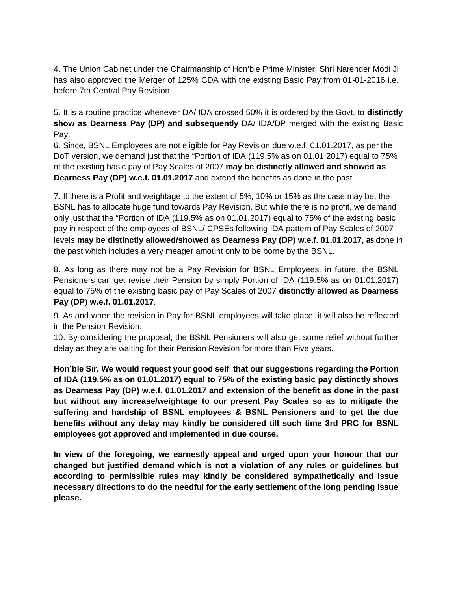4. The Union Cabinet under the Chairmanship of Hon'ble Prime Minister, Shri Narender Modi Ji has also approved the Merger of 125% CDA with the existing Basic Pay from 01-01-2016 i.e. before 7th Central Pay Revision.

5. It is a routine practice whenever DA/ IDA crossed 50% it is ordered by the Govt. to **distinctly show as Dearness Pay (DP) and subsequently** DA/ IDA/DP merged with the existing Basic Pay.

6. Since, BSNL Employees are not eligible for Pay Revision due w.e.f. 01.01.2017, as per the DoT version, we demand just that the "Portion of IDA (119.5% as on 01.01.2017) equal to 75% of the existing basic pay of Pay Scales of 2007 **may be distinctly allowed and showed as Dearness Pay (DP) w.e.f. 01.01.2017** and extend the benefits as done in the past.

7. If there is a Profit and weightage to the extent of 5%, 10% or 15% as the case may be, the BSNL has to allocate huge fund towards Pay Revision. But while there is no profit, we demand only just that the "Portion of IDA (119.5% as on 01.01.2017) equal to 75% of the existing basic pay in respect of the employees of BSNL/ CPSEs following IDA pattern of Pay Scales of 2007 levels **may be distinctly allowed/showed as Dearness Pay (DP) w.e.f. 01.01.2017, as** done in the past which includes a very meager amount only to be borne by the BSNL.

8. As long as there may not be a Pay Revision for BSNL Employees, in future, the BSNL Pensioners can get revise their Pension by simply Portion of IDA (119.5% as on 01.01.2017) equal to 75% of the existing basic pay of Pay Scales of 2007 **distinctly allowed as Dearness Pay (DP**) **w.e.f. 01.01.2017**.

9. As and when the revision in Pay for BSNL employees will take place, it will also be reflected in the Pension Revision.

10. By considering the proposal, the BSNL Pensioners will also get some relief without further delay as they are waiting for their Pension Revision for more than Five years.

**Hon'ble Sir, We would request your good self that our suggestions regarding the Portion of IDA (119.5% as on 01.01.2017) equal to 75% of the existing basic pay distinctly shows as Dearness Pay (DP) w.e.f. 01.01.2017 and extension of the benefit as done in the past but without any increase/weightage to our present Pay Scales so as to mitigate the suffering and hardship of BSNL employees & BSNL Pensioners and to get the due benefits without any delay may kindly be considered till such time 3rd PRC for BSNL employees got approved and implemented in due course.**

**In view of the foregoing, we earnestly appeal and urged upon your honour that our changed but justified demand which is not a violation of any rules or guidelines but according to permissible rules may kindly be considered sympathetically and issue necessary directions to do the needful for the early settlement of the long pending issue please.**